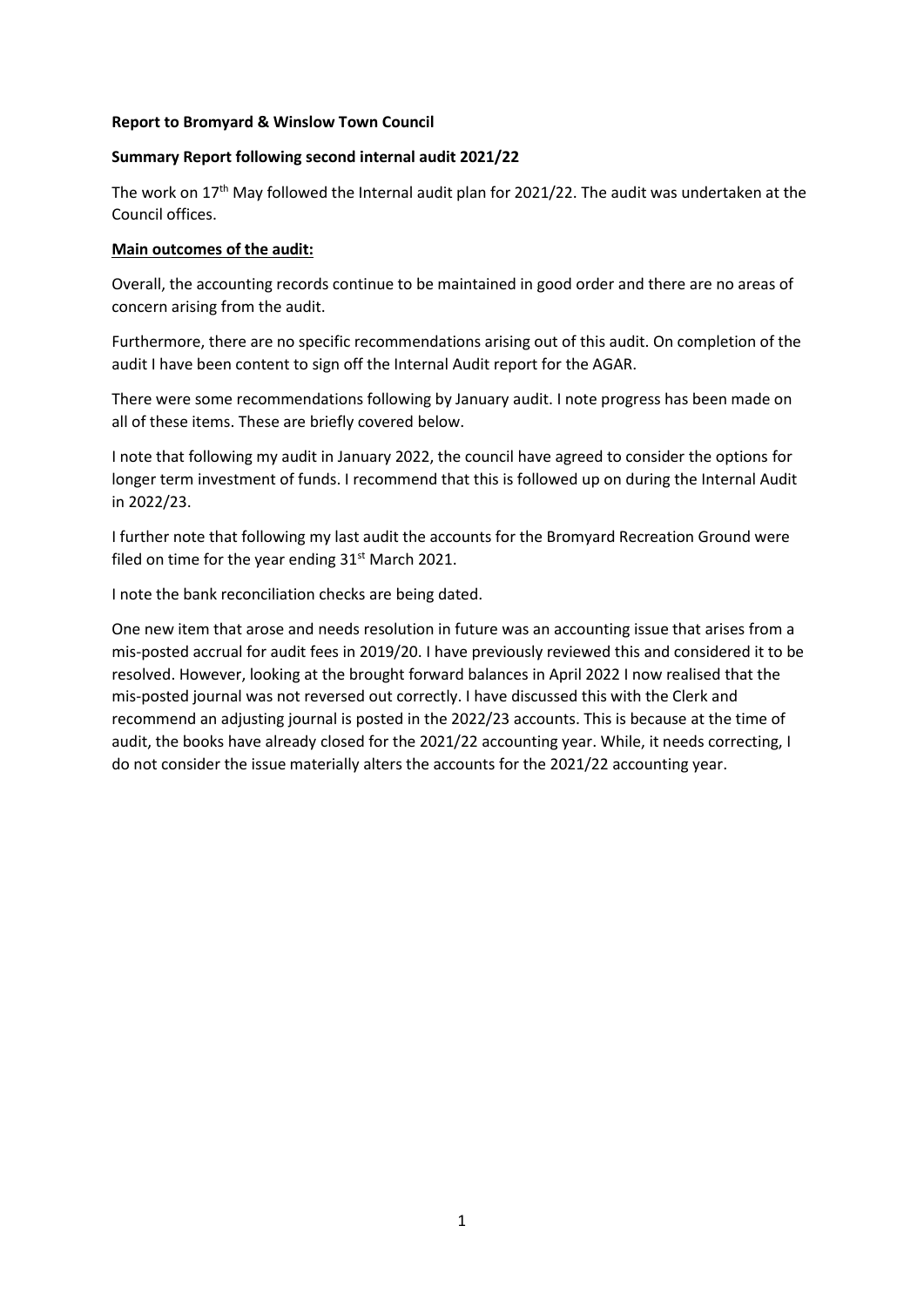#### **Report to Bromyard & Winslow Town Council**

### **Summary Report following second internal audit 2021/22**

The work on 17<sup>th</sup> May followed the Internal audit plan for 2021/22. The audit was undertaken at the Council offices.

#### **Main outcomes of the audit:**

Overall, the accounting records continue to be maintained in good order and there are no areas of concern arising from the audit.

Furthermore, there are no specific recommendations arising out of this audit. On completion of the audit I have been content to sign off the Internal Audit report for the AGAR.

There were some recommendations following by January audit. I note progress has been made on all of these items. These are briefly covered below.

I note that following my audit in January 2022, the council have agreed to consider the options for longer term investment of funds. I recommend that this is followed up on during the Internal Audit in 2022/23.

I further note that following my last audit the accounts for the Bromyard Recreation Ground were filed on time for the year ending  $31<sup>st</sup>$  March 2021.

I note the bank reconciliation checks are being dated.

One new item that arose and needs resolution in future was an accounting issue that arises from a mis-posted accrual for audit fees in 2019/20. I have previously reviewed this and considered it to be resolved. However, looking at the brought forward balances in April 2022 I now realised that the mis-posted journal was not reversed out correctly. I have discussed this with the Clerk and recommend an adjusting journal is posted in the 2022/23 accounts. This is because at the time of audit, the books have already closed for the 2021/22 accounting year. While, it needs correcting, I do not consider the issue materially alters the accounts for the 2021/22 accounting year.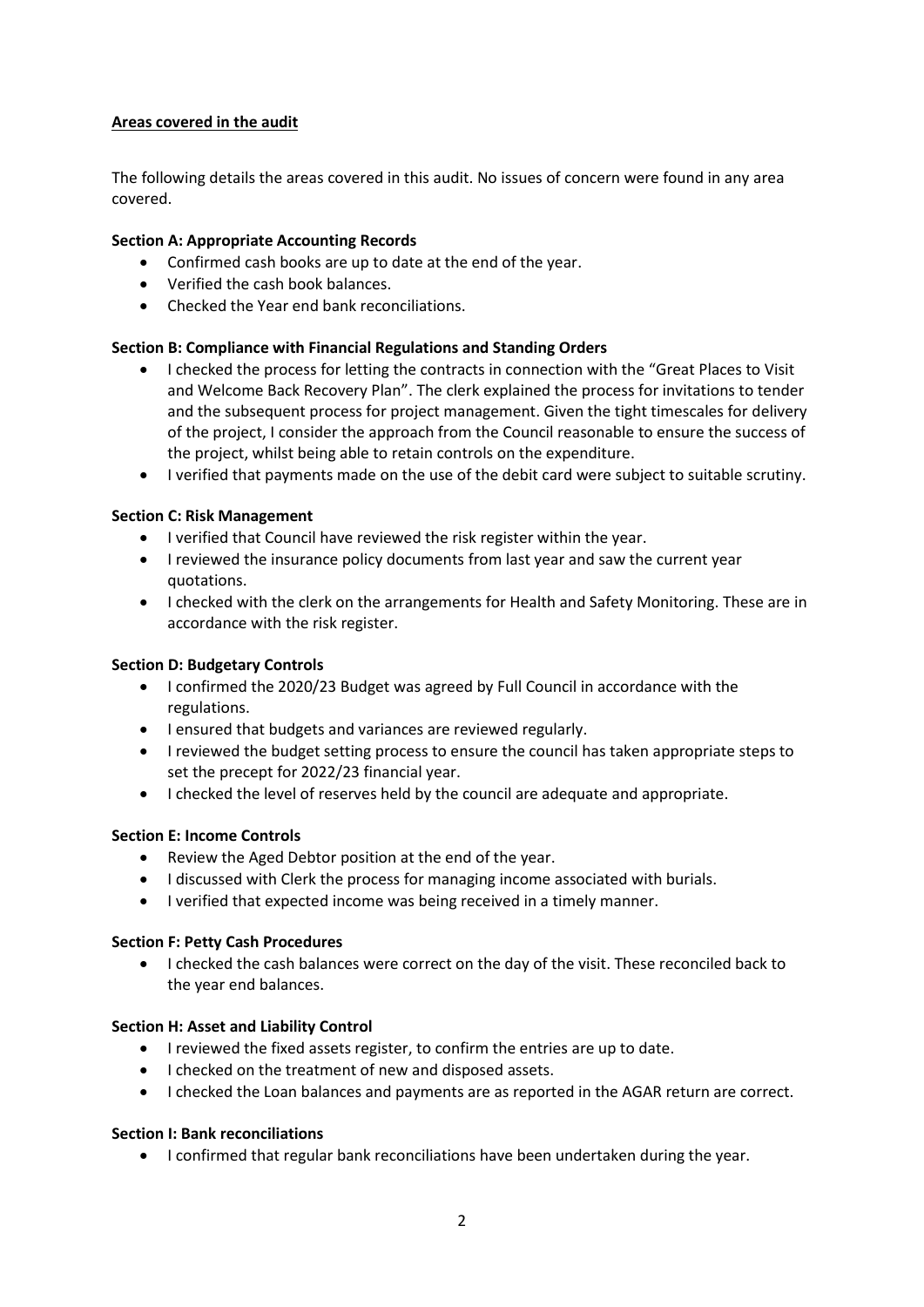# **Areas covered in the audit**

The following details the areas covered in this audit. No issues of concern were found in any area covered.

## **Section A: Appropriate Accounting Records**

- Confirmed cash books are up to date at the end of the year.
- Verified the cash book balances.
- Checked the Year end bank reconciliations.

## **Section B: Compliance with Financial Regulations and Standing Orders**

- I checked the process for letting the contracts in connection with the "Great Places to Visit and Welcome Back Recovery Plan". The clerk explained the process for invitations to tender and the subsequent process for project management. Given the tight timescales for delivery of the project, I consider the approach from the Council reasonable to ensure the success of the project, whilst being able to retain controls on the expenditure.
- I verified that payments made on the use of the debit card were subject to suitable scrutiny.

## **Section C: Risk Management**

- I verified that Council have reviewed the risk register within the year.
- I reviewed the insurance policy documents from last year and saw the current year quotations.
- I checked with the clerk on the arrangements for Health and Safety Monitoring. These are in accordance with the risk register.

### **Section D: Budgetary Controls**

- I confirmed the 2020/23 Budget was agreed by Full Council in accordance with the regulations.
- I ensured that budgets and variances are reviewed regularly.
- I reviewed the budget setting process to ensure the council has taken appropriate steps to set the precept for 2022/23 financial year.
- I checked the level of reserves held by the council are adequate and appropriate.

### **Section E: Income Controls**

- Review the Aged Debtor position at the end of the year.
- I discussed with Clerk the process for managing income associated with burials.
- I verified that expected income was being received in a timely manner.

### **Section F: Petty Cash Procedures**

• I checked the cash balances were correct on the day of the visit. These reconciled back to the year end balances.

### **Section H: Asset and Liability Control**

- I reviewed the fixed assets register, to confirm the entries are up to date.
- I checked on the treatment of new and disposed assets.
- I checked the Loan balances and payments are as reported in the AGAR return are correct.

### **Section I: Bank reconciliations**

• I confirmed that regular bank reconciliations have been undertaken during the year.